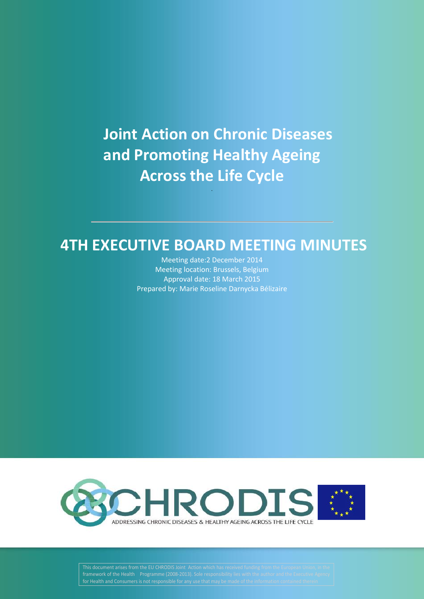# **Joint Action on Chronic Diseases and Promoting Healthy Ageing Across the Life Cycle**

.

# **4TH EXECUTIVE BOARD MEETING MINUTES**

Meeting date:2 December 2014 Meeting location: Brussels, Belgium Approval date: 18 March 2015 Prepared by: Marie Roseline Darnycka Bélizaire



**This document arises from the EU CHRODIS Joint Action which has received funding from the European Union, in the | framework of the Health Programme (2008-2013). Sole responsibility lies with the author and the Executive Agency**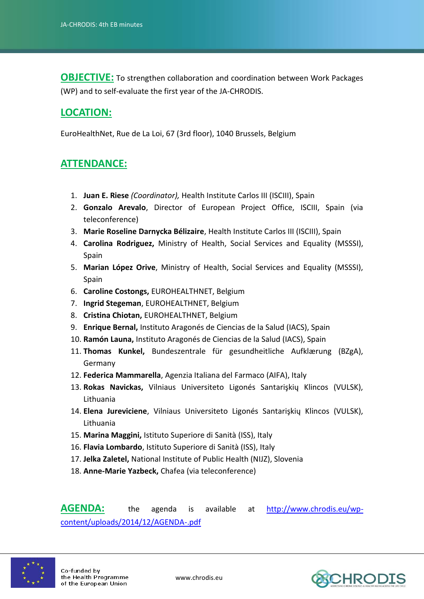**OBJECTIVE:** To strengthen collaboration and coordination between Work Packages (WP) and to self-evaluate the first year of the JA-CHRODIS.

## **LOCATION:**

EuroHealthNet, Rue de La Loi, 67 (3rd floor), 1040 Brussels, Belgium

#### **ATTENDANCE:**

- 1. **Juan E. Riese** *(Coordinator),* Health Institute Carlos III (ISCIII), Spain
- 2. **Gonzalo Arevalo**, Director of European Project Office, ISCIII, Spain (via teleconference)
- 3. **Marie Roseline Darnycka Bélizaire**, Health Institute Carlos III (ISCIII), Spain
- 4. **Carolina Rodriguez,** Ministry of Health, Social Services and Equality (MSSSI), Spain
- 5. **Marian López Orive**, Ministry of Health, Social Services and Equality (MSSSI), Spain
- 6. **Caroline Costongs,** EUROHEALTHNET, Belgium
- 7. **Ingrid Stegeman**, EUROHEALTHNET, Belgium
- 8. **Cristina Chiotan,** EUROHEALTHNET, Belgium
- 9. **Enrique Bernal,** Instituto Aragonés de Ciencias de la Salud (IACS), Spain
- 10. **Ramón Launa,** Instituto Aragonés de Ciencias de la Salud (IACS), Spain
- 11. **Thomas Kunkel,** Bundeszentrale für gesundheitliche Aufklærung (BZgA), Germany
- 12. **Federica Mammarella**, Agenzia Italiana del Farmaco (AIFA), Italy
- 13. **Rokas Navickas,** Vilniaus Universiteto Ligonés Santarişkių Klincos (VULSK), Lithuania
- 14. **Elena Jureviciene**, Vilniaus Universiteto Ligonés Santarişkių Klincos (VULSK), Lithuania
- 15. **Marina Maggini,** Istituto Superiore di Sanità (ISS), Italy
- 16. **Flavia Lombardo**, Istituto Superiore di Sanità (ISS), Italy
- 17. **Jelka Zaletel,** National Institute of Public Health (NIJZ), Slovenia
- 18. **Anne-Marie Yazbeck,** Chafea (via teleconference)

AGENDA: the agenda is available at [http://www.chrodis.eu/wp](http://www.chrodis.eu/wp-content/uploads/2014/12/AGENDA-.pdf)[content/uploads/2014/12/AGENDA-.pdf](http://www.chrodis.eu/wp-content/uploads/2014/12/AGENDA-.pdf)



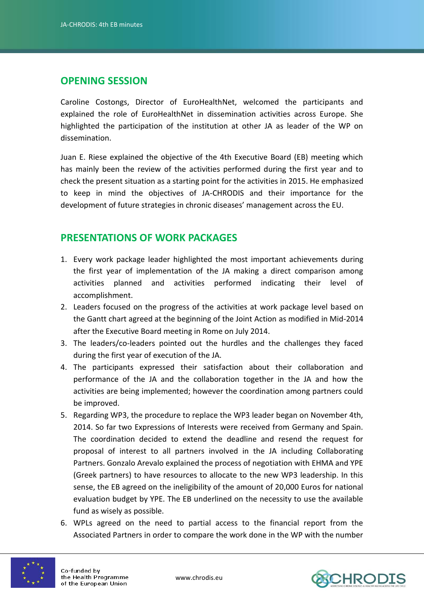#### **OPENING SESSION**

Caroline Costongs, Director of EuroHealthNet, welcomed the participants and explained the role of EuroHealthNet in dissemination activities across Europe. She highlighted the participation of the institution at other JA as leader of the WP on dissemination.

Juan E. Riese explained the objective of the 4th Executive Board (EB) meeting which has mainly been the review of the activities performed during the first year and to check the present situation as a starting point for the activities in 2015. He emphasized to keep in mind the objectives of JA-CHRODIS and their importance for the development of future strategies in chronic diseases' management across the EU.

#### **PRESENTATIONS OF WORK PACKAGES**

- 1. Every work package leader highlighted the most important achievements during the first year of implementation of the JA making a direct comparison among activities planned and activities performed indicating their level of accomplishment.
- 2. Leaders focused on the progress of the activities at work package level based on the Gantt chart agreed at the beginning of the Joint Action as modified in Mid-2014 after the Executive Board meeting in Rome on July 2014.
- 3. The leaders/co-leaders pointed out the hurdles and the challenges they faced during the first year of execution of the JA.
- 4. The participants expressed their satisfaction about their collaboration and performance of the JA and the collaboration together in the JA and how the activities are being implemented; however the coordination among partners could be improved.
- 5. Regarding WP3, the procedure to replace the WP3 leader began on November 4th, 2014. So far two Expressions of Interests were received from Germany and Spain. The coordination decided to extend the deadline and resend the request for proposal of interest to all partners involved in the JA including Collaborating Partners. Gonzalo Arevalo explained the process of negotiation with EHMA and YPE (Greek partners) to have resources to allocate to the new WP3 leadership. In this sense, the EB agreed on the ineligibility of the amount of 20,000 Euros for national evaluation budget by YPE. The EB underlined on the necessity to use the available fund as wisely as possible.
- 6. WPLs agreed on the need to partial access to the financial report from the Associated Partners in order to compare the work done in the WP with the number



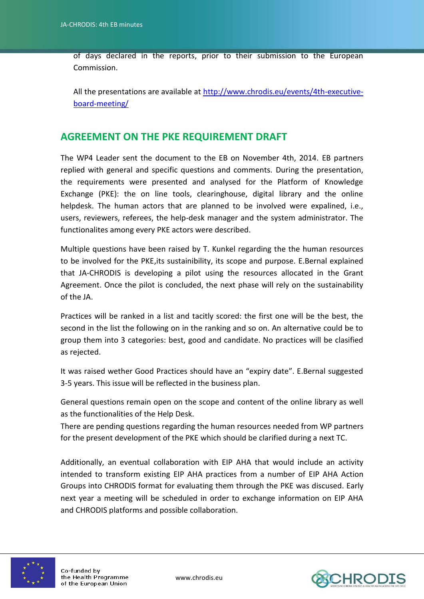of days declared in the reports, prior to their submission to the European Commission.

All the presentations are available at [http://www.chrodis.eu/events/4th-executive](http://www.chrodis.eu/events/4th-executive-board-meeting/)[board-meeting/](http://www.chrodis.eu/events/4th-executive-board-meeting/)

#### **AGREEMENT ON THE PKE REQUIREMENT DRAFT**

The WP4 Leader sent the document to the EB on November 4th, 2014. EB partners replied with general and specific questions and comments. During the presentation, the requirements were presented and analysed for the Platform of Knowledge Exchange (PKE): the on line tools, clearinghouse, digital library and the online helpdesk. The human actors that are planned to be involved were expalined, i.e., users, reviewers, referees, the help-desk manager and the system administrator. The functionalites among every PKE actors were described.

Multiple questions have been raised by T. Kunkel regarding the the human resources to be involved for the PKE,its sustainibility, its scope and purpose. E.Bernal explained that JA-CHRODIS is developing a pilot using the resources allocated in the Grant Agreement. Once the pilot is concluded, the next phase will rely on the sustainability of the JA.

Practices will be ranked in a list and tacitly scored: the first one will be the best, the second in the list the following on in the ranking and so on. An alternative could be to group them into 3 categories: best, good and candidate. No practices will be clasified as rejected.

It was raised wether Good Practices should have an "expiry date". E.Bernal suggested 3-5 years. This issue will be reflected in the business plan.

General questions remain open on the scope and content of the online library as well as the functionalities of the Help Desk.

There are pending questions regarding the human resources needed from WP partners for the present development of the PKE which should be clarified during a next TC.

Additionally, an eventual collaboration with EIP AHA that would include an activity intended to transform existing EIP AHA practices from a number of EIP AHA Action Groups into CHRODIS format for evaluating them through the PKE was discused. Early next year a meeting will be scheduled in order to exchange information on EIP AHA and CHRODIS platforms and possible collaboration.